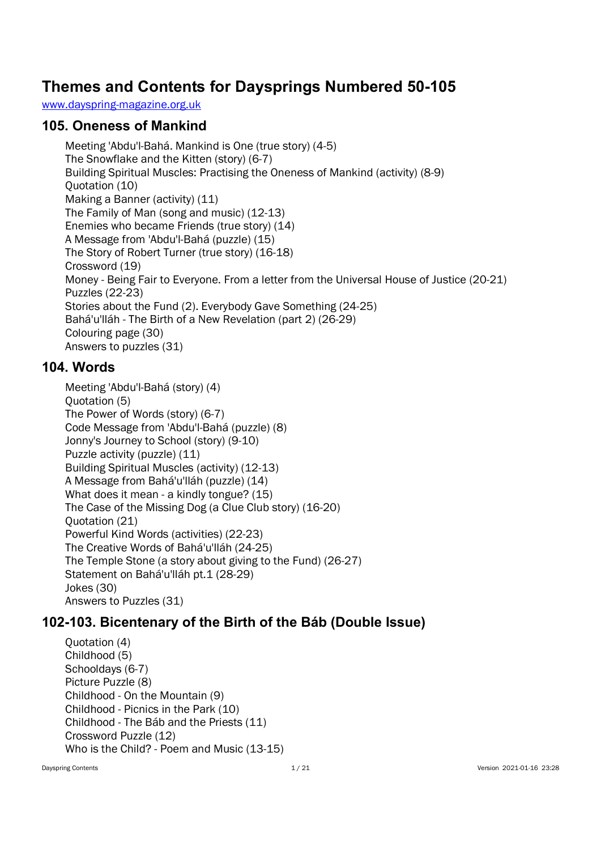# Themes and Contents for Daysprings Numbered 50-105

www.dayspring-magazine.org.uk

#### 105. Oneness of Mankind

Meeting 'Abdu'l-Bahá. Mankind is One (true story) (4-5) The Snowflake and the Kitten (story) (6-7) Building Spiritual Muscles: Practising the Oneness of Mankind (activity) (8-9) Quotation (10) Making a Banner (activity) (11) The Family of Man (song and music) (12-13) Enemies who became Friends (true story) (14) A Message from 'Abdu'l-Bahá (puzzle) (15) The Story of Robert Turner (true story) (16-18) Crossword (19) Money - Being Fair to Everyone. From a letter from the Universal House of Justice (20-21) Puzzles (22-23) Stories about the Fund (2). Everybody Gave Something (24-25) Bahá'u'lláh - The Birth of a New Revelation (part 2) (26-29) Colouring page (30) Answers to puzzles (31)

#### 104. Words

Meeting 'Abdu'l-Bahá (story) (4) Quotation (5) The Power of Words (story) (6-7) Code Message from 'Abdu'l-Bahá (puzzle) (8) Jonny's Journey to School (story) (9-10) Puzzle activity (puzzle) (11) Building Spiritual Muscles (activity) (12-13) A Message from Bahá'u'lláh (puzzle) (14) What does it mean - a kindly tongue? (15) The Case of the Missing Dog (a Clue Club story) (16-20) Quotation (21) Powerful Kind Words (activities) (22-23) The Creative Words of Bahá'u'lláh (24-25) The Temple Stone (a story about giving to the Fund) (26-27) Statement on Bahá'u'lláh pt.1 (28-29) Jokes (30) Answers to Puzzles (31)

## 102-103. Bicentenary of the Birth of the Báb (Double Issue)

Quotation (4) Childhood (5) Schooldays (6-7) Picture Puzzle (8) Childhood - On the Mountain (9) Childhood - Picnics in the Park (10) Childhood - The Báb and the Priests (11) Crossword Puzzle (12) Who is the Child? - Poem and Music (13-15)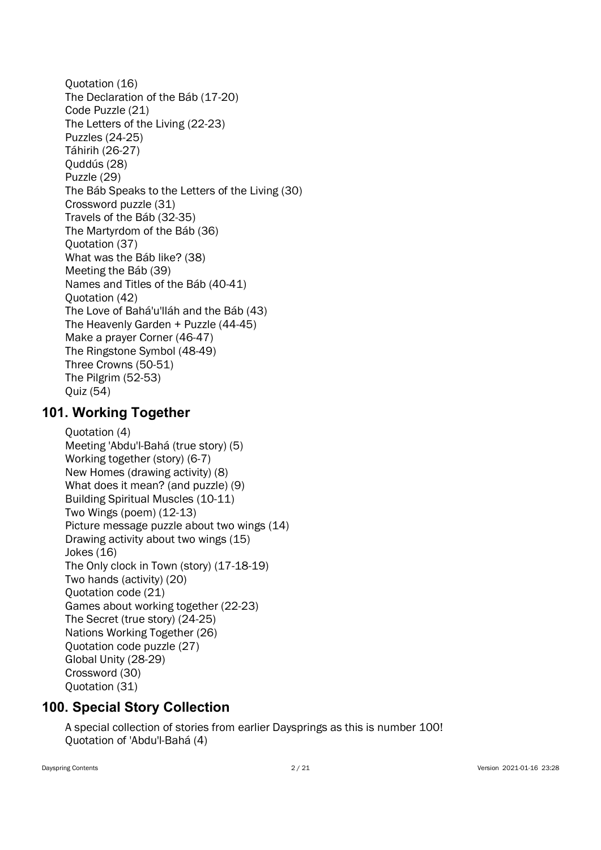Quotation (16) The Declaration of the Báb (17-20) Code Puzzle (21) The Letters of the Living (22-23) Puzzles (24-25) Táhirih (26-27) Quddús (28) Puzzle (29) The Báb Speaks to the Letters of the Living (30) Crossword puzzle (31) Travels of the Báb (32-35) The Martyrdom of the Báb (36) Quotation (37) What was the Báb like? (38) Meeting the Báb (39) Names and Titles of the Báb (40-41) Quotation (42) The Love of Bahá'u'lláh and the Báb (43) The Heavenly Garden + Puzzle (44-45) Make a prayer Corner (46-47) The Ringstone Symbol (48-49) Three Crowns (50-51) The Pilgrim (52-53) Quiz (54)

### 101. Working Together

Quotation (4) Meeting 'Abdu'l-Bahá (true story) (5) Working together (story) (6-7) New Homes (drawing activity) (8) What does it mean? (and puzzle) (9) Building Spiritual Muscles (10-11) Two Wings (poem) (12-13) Picture message puzzle about two wings (14) Drawing activity about two wings (15) Jokes (16) The Only clock in Town (story) (17-18-19) Two hands (activity) (20) Quotation code (21) Games about working together (22-23) The Secret (true story) (24-25) Nations Working Together (26) Quotation code puzzle (27) Global Unity (28-29) Crossword (30) Quotation (31)

## 100. Special Story Collection

A special collection of stories from earlier Daysprings as this is number 100! Quotation of 'Abdu'l-Bahá (4)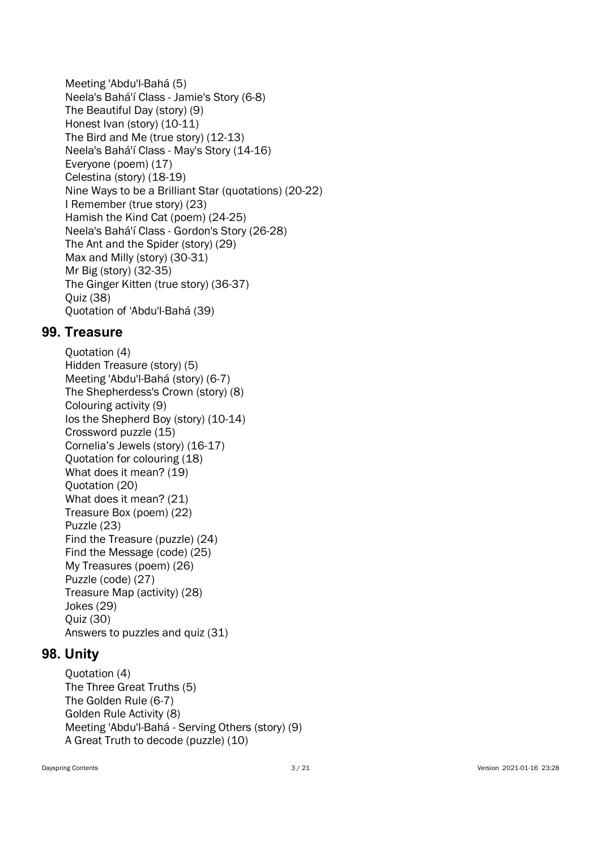Meeting 'Abdu'l-Bahá (5) Neela's Bahá'í Class - Jamie's Story (6-8) The Beautiful Day (story) (9) Honest Ivan (story) (10-11) The Bird and Me (true story) (12-13) Neela's Bahá'í Class - May's Story (14-16) Everyone (poem) (17) Celestina (story) (18-19) Nine Ways to be a Brilliant Star (quotations) (20-22) I Remember (true story) (23) Hamish the Kind Cat (poem) (24-25) Neela's Bahá'í Class - Gordon's Story (26-28) The Ant and the Spider (story) (29) Max and Milly (story) (30-31) Mr Big (story) (32-35) The Ginger Kitten (true story) (36-37) Quiz (38) Quotation of 'Abdu'l-Bahá (39)

#### 99. Treasure

Quotation (4) Hidden Treasure (story) (5) Meeting 'Abdu'l-Bahá (story) (6-7) The Shepherdess's Crown (story) (8) Colouring activity (9) Ios the Shepherd Boy (story) (10-14) Crossword puzzle (15) Cornelia's Jewels (story) (16-17) Quotation for colouring (18) What does it mean? (19) Quotation (20) What does it mean? (21) Treasure Box (poem) (22) Puzzle (23) Find the Treasure (puzzle) (24) Find the Message (code) (25) My Treasures (poem) (26) Puzzle (code) (27) Treasure Map (activity) (28) Jokes (29) Quiz (30) Answers to puzzles and quiz (31)

## 98. Unity

Quotation (4) The Three Great Truths (5) The Golden Rule (6-7) Golden Rule Activity (8) Meeting 'Abdu'l-Bahá - Serving Others (story) (9) A Great Truth to decode (puzzle) (10)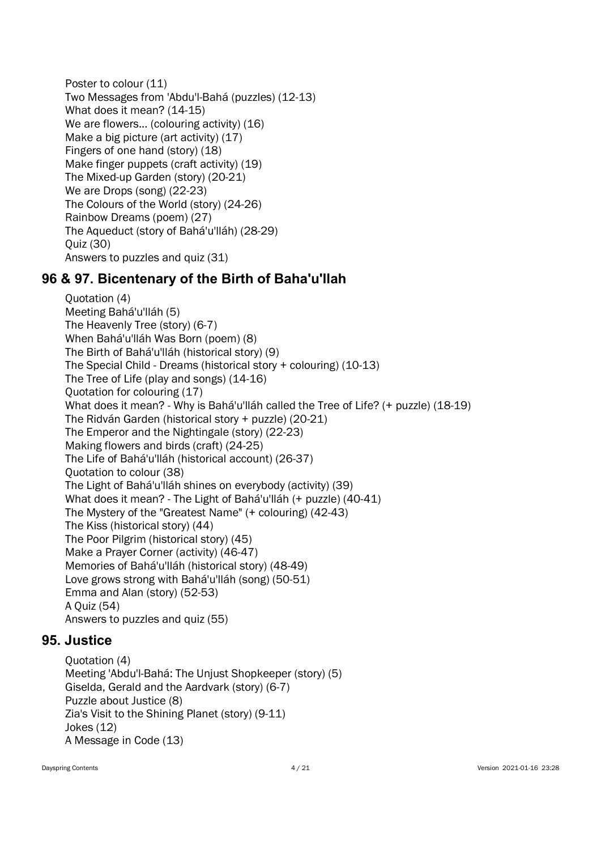Poster to colour (11) Two Messages from 'Abdu'l-Bahá (puzzles) (12-13) What does it mean? (14-15) We are flowers... (colouring activity) (16) Make a big picture (art activity) (17) Fingers of one hand (story) (18) Make finger puppets (craft activity) (19) The Mixed-up Garden (story) (20-21) We are Drops (song) (22-23) The Colours of the World (story) (24-26) Rainbow Dreams (poem) (27) The Aqueduct (story of Bahá'u'lláh) (28-29) Quiz (30) Answers to puzzles and quiz (31)

## 96 & 97. Bicentenary of the Birth of Baha'u'llah

Quotation (4) Meeting Bahá'u'lláh (5) The Heavenly Tree (story) (6-7) When Bahá'u'lláh Was Born (poem) (8) The Birth of Bahá'u'lláh (historical story) (9) The Special Child - Dreams (historical story + colouring) (10-13) The Tree of Life (play and songs) (14-16) Quotation for colouring (17) What does it mean? - Why is Bahá'u'lláh called the Tree of Life? (+ puzzle) (18-19) The Ridván Garden (historical story + puzzle) (20-21) The Emperor and the Nightingale (story) (22-23) Making flowers and birds (craft) (24-25) The Life of Bahá'u'lláh (historical account) (26-37) Quotation to colour (38) The Light of Bahá'u'lláh shines on everybody (activity) (39) What does it mean? - The Light of Bahá'u'lláh (+ puzzle) (40-41) The Mystery of the "Greatest Name" (+ colouring) (42-43) The Kiss (historical story) (44) The Poor Pilgrim (historical story) (45) Make a Prayer Corner (activity) (46-47) Memories of Bahá'u'lláh (historical story) (48-49) Love grows strong with Bahá'u'lláh (song) (50-51) Emma and Alan (story) (52-53) A Quiz (54) Answers to puzzles and quiz (55)

## 95. Justice

Quotation (4) Meeting 'Abdu'l-Bahá: The Unjust Shopkeeper (story) (5) Giselda, Gerald and the Aardvark (story) (6-7) Puzzle about Justice (8) Zia's Visit to the Shining Planet (story) (9-11) Jokes (12) A Message in Code (13)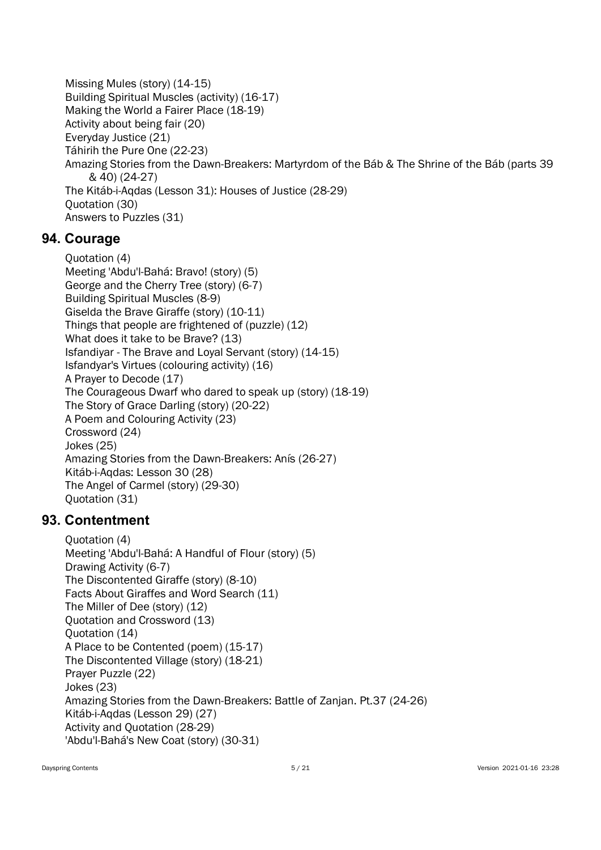Missing Mules (story) (14-15) Building Spiritual Muscles (activity) (16-17) Making the World a Fairer Place (18-19) Activity about being fair (20) Everyday Justice (21) Táhirih the Pure One (22-23) Amazing Stories from the Dawn-Breakers: Martyrdom of the Báb & The Shrine of the Báb (parts 39 & 40) (24-27) The Kitáb-i-Aqdas (Lesson 31): Houses of Justice (28-29) Quotation (30) Answers to Puzzles (31)

### 94. Courage

Quotation (4) Meeting 'Abdu'l-Bahá: Bravo! (story) (5) George and the Cherry Tree (story) (6-7) Building Spiritual Muscles (8-9) Giselda the Brave Giraffe (story) (10-11) Things that people are frightened of (puzzle) (12) What does it take to be Brave? (13) Isfandiyar - The Brave and Loyal Servant (story) (14-15) Isfandyar's Virtues (colouring activity) (16) A Prayer to Decode (17) The Courageous Dwarf who dared to speak up (story) (18-19) The Story of Grace Darling (story) (20-22) A Poem and Colouring Activity (23) Crossword (24) Jokes (25) Amazing Stories from the Dawn-Breakers: Anís (26-27) Kitáb-i-Aqdas: Lesson 30 (28) The Angel of Carmel (story) (29-30) Quotation (31)

### 93. Contentment

Quotation (4) Meeting 'Abdu'l-Bahá: A Handful of Flour (story) (5) Drawing Activity (6-7) The Discontented Giraffe (story) (8-10) Facts About Giraffes and Word Search (11) The Miller of Dee (story) (12) Quotation and Crossword (13) Quotation (14) A Place to be Contented (poem) (15-17) The Discontented Village (story) (18-21) Prayer Puzzle (22) Jokes (23) Amazing Stories from the Dawn-Breakers: Battle of Zanjan. Pt.37 (24-26) Kitáb-i-Aqdas (Lesson 29) (27) Activity and Quotation (28-29) 'Abdu'l-Bahá's New Coat (story) (30-31)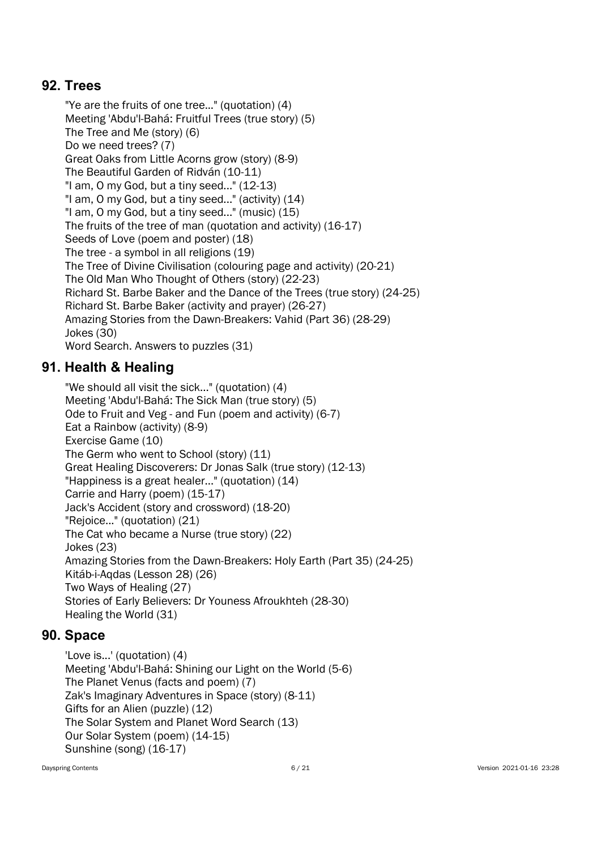### 92. Trees

"Ye are the fruits of one tree..." (quotation) (4) Meeting 'Abdu'l-Bahá: Fruitful Trees (true story) (5) The Tree and Me (story) (6) Do we need trees? (7) Great Oaks from Little Acorns grow (story) (8-9) The Beautiful Garden of Ridván (10-11) "I am, O my God, but a tiny seed..." (12-13) "I am, O my God, but a tiny seed..." (activity) (14) "I am, O my God, but a tiny seed..." (music) (15) The fruits of the tree of man (quotation and activity) (16-17) Seeds of Love (poem and poster) (18) The tree - a symbol in all religions (19) The Tree of Divine Civilisation (colouring page and activity) (20-21) The Old Man Who Thought of Others (story) (22-23) Richard St. Barbe Baker and the Dance of the Trees (true story) (24-25) Richard St. Barbe Baker (activity and prayer) (26-27) Amazing Stories from the Dawn-Breakers: Vahid (Part 36) (28-29) Jokes (30) Word Search. Answers to puzzles (31)

## 91. Health & Healing

"We should all visit the sick..." (quotation) (4) Meeting 'Abdu'l-Bahá: The Sick Man (true story) (5) Ode to Fruit and Veg - and Fun (poem and activity) (6-7) Eat a Rainbow (activity) (8-9) Exercise Game (10) The Germ who went to School (story) (11) Great Healing Discoverers: Dr Jonas Salk (true story) (12-13) "Happiness is a great healer..." (quotation) (14) Carrie and Harry (poem) (15-17) Jack's Accident (story and crossword) (18-20) "Rejoice..." (quotation) (21) The Cat who became a Nurse (true story) (22) Jokes (23) Amazing Stories from the Dawn-Breakers: Holy Earth (Part 35) (24-25) Kitáb-i-Aqdas (Lesson 28) (26) Two Ways of Healing (27) Stories of Early Believers: Dr Youness Afroukhteh (28-30) Healing the World (31)

### 90. Space

'Love is...' (quotation) (4) Meeting 'Abdu'l-Bahá: Shining our Light on the World (5-6) The Planet Venus (facts and poem) (7) Zak's Imaginary Adventures in Space (story) (8-11) Gifts for an Alien (puzzle) (12) The Solar System and Planet Word Search (13) Our Solar System (poem) (14-15) Sunshine (song) (16-17)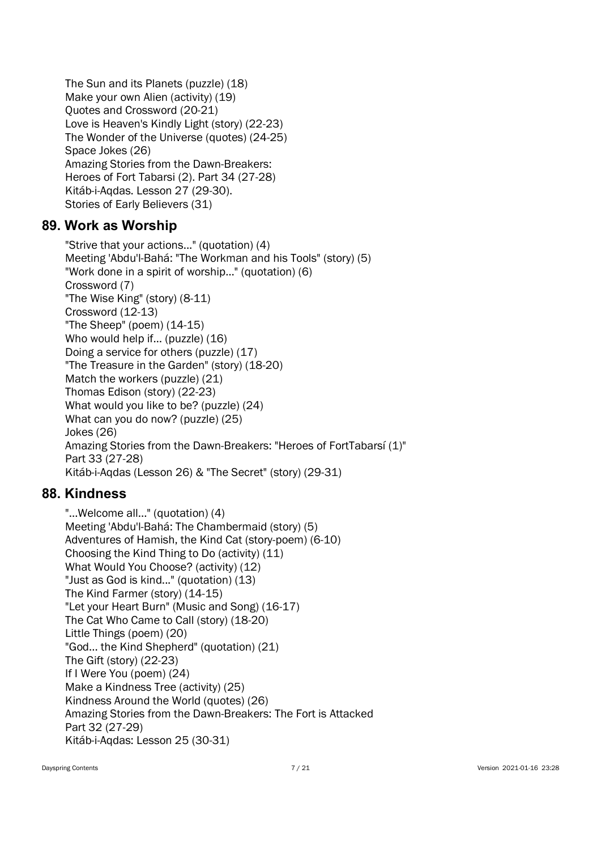The Sun and its Planets (puzzle) (18) Make your own Alien (activity) (19) Quotes and Crossword (20-21) Love is Heaven's Kindly Light (story) (22-23) The Wonder of the Universe (quotes) (24-25) Space Jokes (26) Amazing Stories from the Dawn-Breakers: Heroes of Fort Tabarsi (2). Part 34 (27-28) Kitáb-i-Aqdas. Lesson 27 (29-30). Stories of Early Believers (31)

#### 89. Work as Worship

"Strive that your actions..." (quotation) (4) Meeting 'Abdu'l-Bahá: "The Workman and his Tools" (story) (5) "Work done in a spirit of worship…" (quotation) (6) Crossword (7) "The Wise King" (story) (8-11) Crossword (12-13) "The Sheep" (poem) (14-15) Who would help if... (puzzle) (16) Doing a service for others (puzzle) (17) "The Treasure in the Garden" (story) (18-20) Match the workers (puzzle) (21) Thomas Edison (story) (22-23) What would you like to be? (puzzle) (24) What can you do now? (puzzle) (25) Jokes (26) Amazing Stories from the Dawn-Breakers: "Heroes of FortTabarsí (1)" Part 33 (27-28) Kitáb-i-Aqdas (Lesson 26) & "The Secret" (story) (29-31)

### 88. Kindness

"...Welcome all..." (quotation) (4) Meeting 'Abdu'l-Bahá: The Chambermaid (story) (5) Adventures of Hamish, the Kind Cat (story-poem) (6-10) Choosing the Kind Thing to Do (activity) (11) What Would You Choose? (activity) (12) "Just as God is kind..." (quotation) (13) The Kind Farmer (story) (14-15) "Let your Heart Burn" (Music and Song) (16-17) The Cat Who Came to Call (story) (18-20) Little Things (poem) (20) "God... the Kind Shepherd" (quotation) (21) The Gift (story) (22-23) If I Were You (poem) (24) Make a Kindness Tree (activity) (25) Kindness Around the World (quotes) (26) Amazing Stories from the Dawn-Breakers: The Fort is Attacked Part 32 (27-29) Kitáb-i-Aqdas: Lesson 25 (30-31)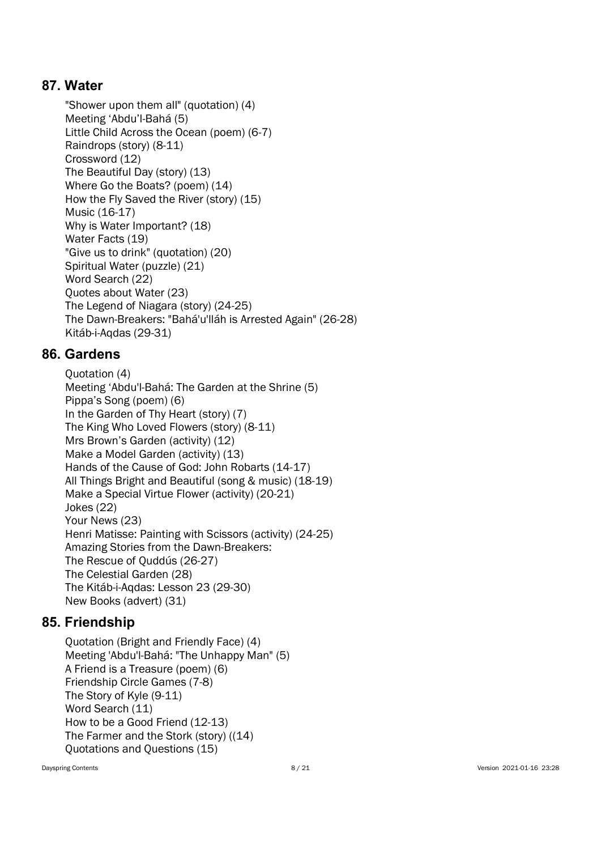### 87. Water

"Shower upon them all" (quotation) (4) Meeting 'Abdu'l-Bahá (5) Little Child Across the Ocean (poem) (6-7) Raindrops (story) (8-11) Crossword (12) The Beautiful Day (story) (13) Where Go the Boats? (poem) (14) How the Fly Saved the River (story) (15) Music (16-17) Why is Water Important? (18) Water Facts (19) "Give us to drink" (quotation) (20) Spiritual Water (puzzle) (21) Word Search (22) Quotes about Water (23) The Legend of Niagara (story) (24-25) The Dawn-Breakers: "Bahá'u'lláh is Arrested Again" (26-28) Kitáb-i-Aqdas (29-31)

## 86. Gardens

Quotation (4) Meeting 'Abdu'l-Bahá: The Garden at the Shrine (5) Pippa's Song (poem) (6) In the Garden of Thy Heart (story) (7) The King Who Loved Flowers (story) (8-11) Mrs Brown's Garden (activity) (12) Make a Model Garden (activity) (13) Hands of the Cause of God: John Robarts (14-17) All Things Bright and Beautiful (song & music) (18-19) Make a Special Virtue Flower (activity) (20-21) Jokes (22) Your News (23) Henri Matisse: Painting with Scissors (activity) (24-25) Amazing Stories from the Dawn-Breakers: The Rescue of Quddús (26-27) The Celestial Garden (28) The Kitáb-i-Aqdas: Lesson 23 (29-30) New Books (advert) (31)

### 85. Friendship

Quotation (Bright and Friendly Face) (4) Meeting 'Abdu'l-Bahá: "The Unhappy Man" (5) A Friend is a Treasure (poem) (6) Friendship Circle Games (7-8) The Story of Kyle (9-11) Word Search (11) How to be a Good Friend (12-13) The Farmer and the Stork (story) ((14) Quotations and Questions (15)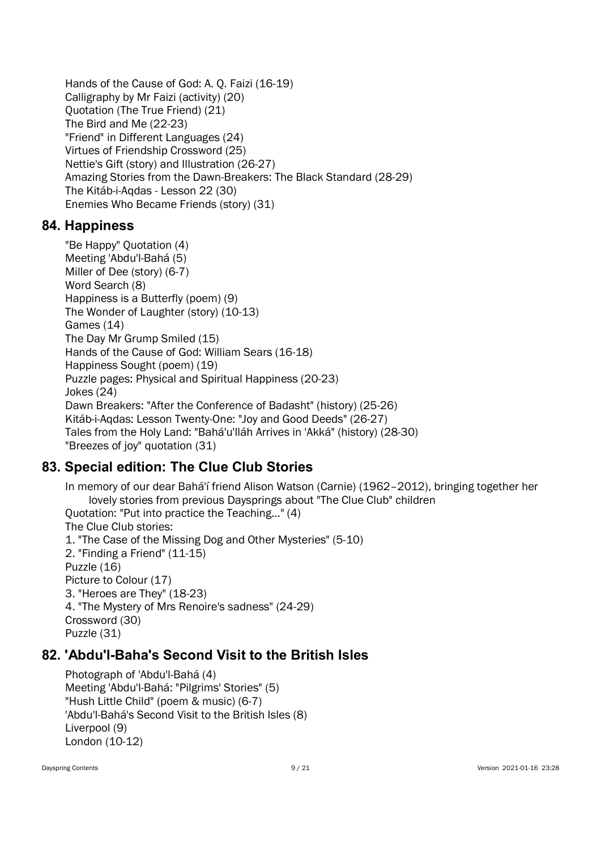Hands of the Cause of God: A. Q. Faizi (16-19) Calligraphy by Mr Faizi (activity) (20) Quotation (The True Friend) (21) The Bird and Me (22-23) "Friend" in Different Languages (24) Virtues of Friendship Crossword (25) Nettie's Gift (story) and Illustration (26-27) Amazing Stories from the Dawn-Breakers: The Black Standard (28-29) The Kitáb-i-Aqdas - Lesson 22 (30) Enemies Who Became Friends (story) (31)

### 84. Happiness

"Be Happy" Quotation (4) Meeting 'Abdu'l-Bahá (5) Miller of Dee (story) (6-7) Word Search (8) Happiness is a Butterfly (poem) (9) The Wonder of Laughter (story) (10-13) Games (14) The Day Mr Grump Smiled (15) Hands of the Cause of God: William Sears (16-18) Happiness Sought (poem) (19) Puzzle pages: Physical and Spiritual Happiness (20-23) Jokes (24) Dawn Breakers: "After the Conference of Badasht" (history) (25-26) Kitáb-i-Aqdas: Lesson Twenty-One: "Joy and Good Deeds" (26-27) Tales from the Holy Land: "Bahá'u'lláh Arrives in 'Akká" (history) (28-30) "Breezes of joy" quotation (31)

## 83. Special edition: The Clue Club Stories

In memory of our dear Bahá'í friend Alison Watson (Carnie) (1962–2012), bringing together her lovely stories from previous Daysprings about "The Clue Club" children Quotation: "Put into practice the Teaching..." (4) The Clue Club stories: 1. "The Case of the Missing Dog and Other Mysteries" (5-10) 2. "Finding a Friend" (11-15) Puzzle (16) Picture to Colour (17) 3. "Heroes are They" (18-23) 4. "The Mystery of Mrs Renoire's sadness" (24-29) Crossword (30) Puzzle (31)

### 82. 'Abdu'l-Baha's Second Visit to the British Isles

Photograph of 'Abdu'l-Bahá (4) Meeting 'Abdu'l-Bahá: "Pilgrims' Stories" (5) "Hush Little Child" (poem & music) (6-7) 'Abdu'l-Bahá's Second Visit to the British Isles (8) Liverpool (9) London (10-12)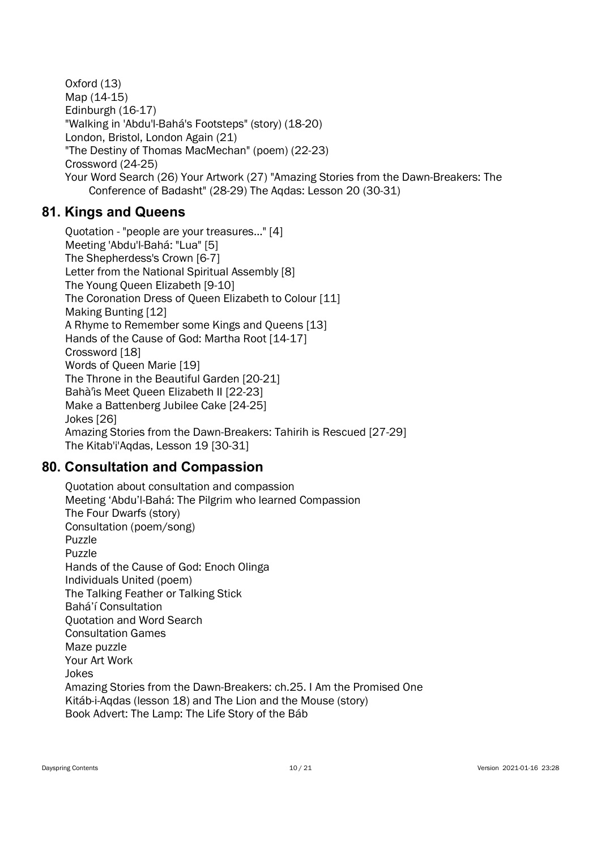Oxford (13) Map (14-15) Edinburgh (16-17) "Walking in 'Abdu'l-Bahá's Footsteps" (story) (18-20) London, Bristol, London Again (21) "The Destiny of Thomas MacMechan" (poem) (22-23) Crossword (24-25) Your Word Search (26) Your Artwork (27) "Amazing Stories from the Dawn-Breakers: The Conference of Badasht" (28-29) The Aqdas: Lesson 20 (30-31)

## 81. Kings and Queens

Quotation - "people are your treasures…" [4] Meeting 'Abdu'l-Bahá: "Lua" [5] The Shepherdess's Crown [6-7] Letter from the National Spiritual Assembly [8] The Young Queen Elizabeth [9-10] The Coronation Dress of Queen Elizabeth to Colour [11] Making Bunting [12] A Rhyme to Remember some Kings and Queens [13] Hands of the Cause of God: Martha Root [14-17] Crossword [18] Words of Queen Marie [19] The Throne in the Beautiful Garden [20-21] Bahà'ìs Meet Queen Elizabeth II [22-23] Make a Battenberg Jubilee Cake [24-25] Jokes [26] Amazing Stories from the Dawn-Breakers: Tahirih is Rescued [27-29] The Kitab'i'Aqdas, Lesson 19 [30-31]

## 80. Consultation and Compassion

Quotation about consultation and compassion Meeting 'Abdu'l-Bahá: The Pilgrim who learned Compassion The Four Dwarfs (story) Consultation (poem/song) Puzzle Puzzle Hands of the Cause of God: Enoch Olinga Individuals United (poem) The Talking Feather or Talking Stick Bahá'í Consultation Quotation and Word Search Consultation Games Maze puzzle Your Art Work Jokes Amazing Stories from the Dawn-Breakers: ch.25. I Am the Promised One Kitáb-i-Aqdas (lesson 18) and The Lion and the Mouse (story) Book Advert: The Lamp: The Life Story of the Báb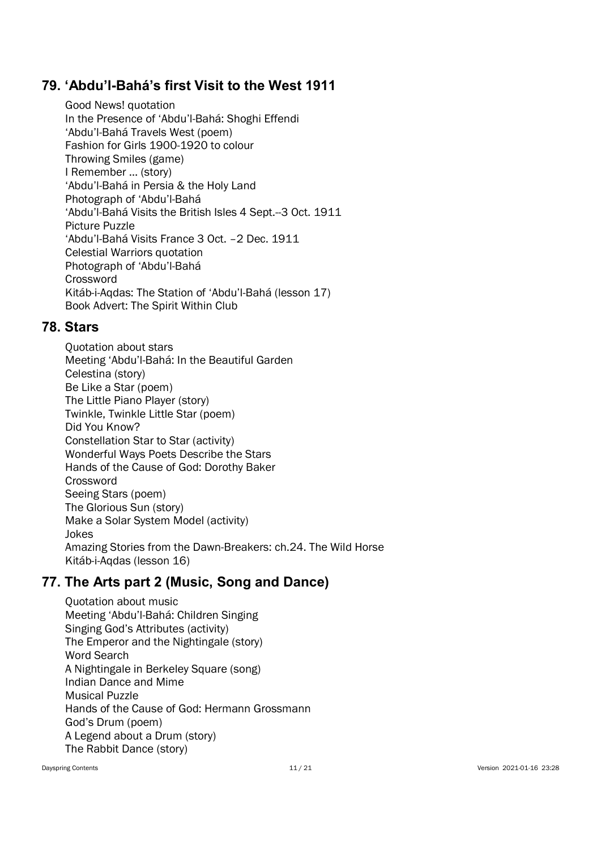### 79. 'Abdu'l-Bahá's first Visit to the West 1911

Good News! quotation In the Presence of 'Abdu'l-Bahá: Shoghi Effendi 'Abdu'l-Bahá Travels West (poem) Fashion for Girls 1900-1920 to colour Throwing Smiles (game) I Remember … (story) 'Abdu'l-Bahá in Persia & the Holy Land Photograph of 'Abdu'l-Bahá 'Abdu'l-Bahá Visits the British Isles 4 Sept.--3 Oct. 1911 Picture Puzzle 'Abdu'l-Bahá Visits France 3 Oct. –2 Dec. 1911 Celestial Warriors quotation Photograph of 'Abdu'l-Bahá Crossword Kitáb-i-Aqdas: The Station of 'Abdu'l-Bahá (lesson 17) Book Advert: The Spirit Within Club

#### 78. Stars

Quotation about stars Meeting 'Abdu'l-Bahá: In the Beautiful Garden Celestina (story) Be Like a Star (poem) The Little Piano Player (story) Twinkle, Twinkle Little Star (poem) Did You Know? Constellation Star to Star (activity) Wonderful Ways Poets Describe the Stars Hands of the Cause of God: Dorothy Baker **Crossword** Seeing Stars (poem) The Glorious Sun (story) Make a Solar System Model (activity) Jokes Amazing Stories from the Dawn-Breakers: ch.24. The Wild Horse Kitáb-i-Aqdas (lesson 16)

### 77. The Arts part 2 (Music, Song and Dance)

Quotation about music Meeting 'Abdu'l-Bahá: Children Singing Singing God's Attributes (activity) The Emperor and the Nightingale (story) Word Search A Nightingale in Berkeley Square (song) Indian Dance and Mime Musical Puzzle Hands of the Cause of God: Hermann Grossmann God's Drum (poem) A Legend about a Drum (story) The Rabbit Dance (story)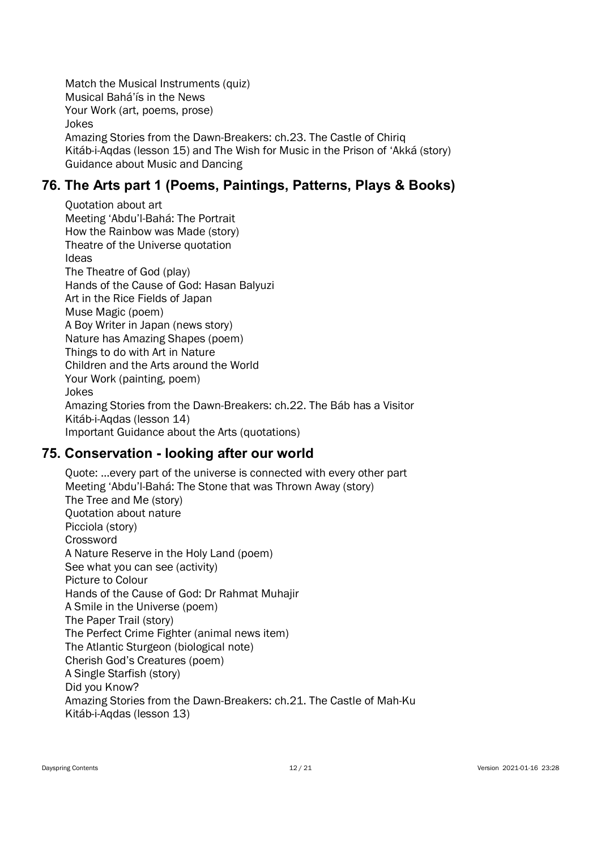Match the Musical Instruments (quiz) Musical Bahá'ís in the News Your Work (art, poems, prose) Jokes Amazing Stories from the Dawn-Breakers: ch.23. The Castle of Chiriq Kitáb-i-Aqdas (lesson 15) and The Wish for Music in the Prison of 'Akká (story) Guidance about Music and Dancing

## 76. The Arts part 1 (Poems, Paintings, Patterns, Plays & Books)

Quotation about art Meeting 'Abdu'l-Bahá: The Portrait How the Rainbow was Made (story) Theatre of the Universe quotation Ideas The Theatre of God (play) Hands of the Cause of God: Hasan Balyuzi Art in the Rice Fields of Japan Muse Magic (poem) A Boy Writer in Japan (news story) Nature has Amazing Shapes (poem) Things to do with Art in Nature Children and the Arts around the World Your Work (painting, poem) Jokes Amazing Stories from the Dawn-Breakers: ch.22. The Báb has a Visitor Kitáb-i-Aqdas (lesson 14) Important Guidance about the Arts (quotations)

### 75. Conservation - looking after our world

Quote: …every part of the universe is connected with every other part Meeting 'Abdu'l-Bahá: The Stone that was Thrown Away (story) The Tree and Me (story) Quotation about nature Picciola (story) **Crossword** A Nature Reserve in the Holy Land (poem) See what you can see (activity) Picture to Colour Hands of the Cause of God: Dr Rahmat Muhajir A Smile in the Universe (poem) The Paper Trail (story) The Perfect Crime Fighter (animal news item) The Atlantic Sturgeon (biological note) Cherish God's Creatures (poem) A Single Starfish (story) Did you Know? Amazing Stories from the Dawn-Breakers: ch.21. The Castle of Mah-Ku Kitáb-i-Aqdas (lesson 13)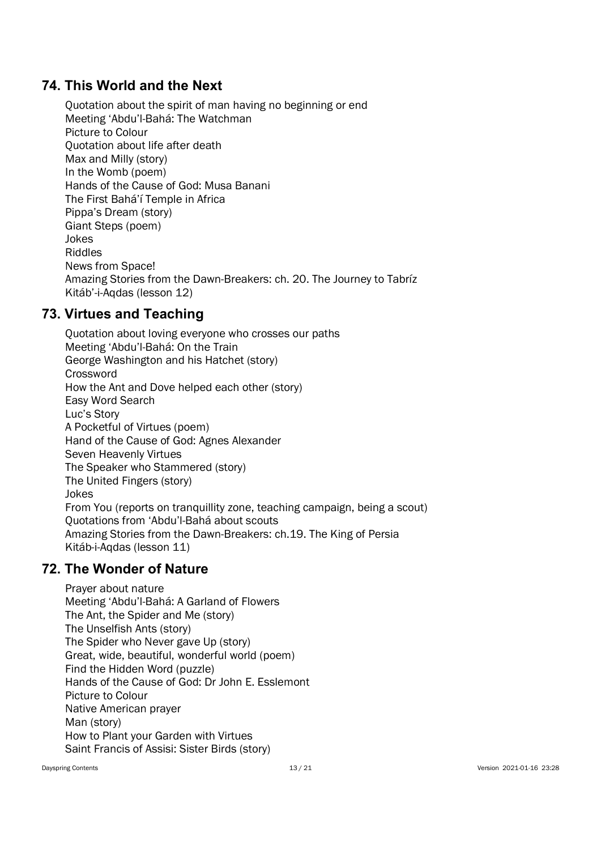### 74. This World and the Next

Quotation about the spirit of man having no beginning or end Meeting 'Abdu'l-Bahá: The Watchman Picture to Colour Quotation about life after death Max and Milly (story) In the Womb (poem) Hands of the Cause of God: Musa Banani The First Bahá'í Temple in Africa Pippa's Dream (story) Giant Steps (poem) Jokes Riddles News from Space! Amazing Stories from the Dawn-Breakers: ch. 20. The Journey to Tabríz Kitáb'-i-Aqdas (lesson 12)

## 73. Virtues and Teaching

Quotation about loving everyone who crosses our paths Meeting 'Abdu'l-Bahá: On the Train George Washington and his Hatchet (story) Crossword How the Ant and Dove helped each other (story) Easy Word Search Luc's Story A Pocketful of Virtues (poem) Hand of the Cause of God: Agnes Alexander Seven Heavenly Virtues The Speaker who Stammered (story) The United Fingers (story) Jokes From You (reports on tranquillity zone, teaching campaign, being a scout) Quotations from 'Abdu'l-Bahá about scouts Amazing Stories from the Dawn-Breakers: ch.19. The King of Persia Kitáb-i-Aqdas (lesson 11)

### 72. The Wonder of Nature

Prayer about nature Meeting 'Abdu'l-Bahá: A Garland of Flowers The Ant, the Spider and Me (story) The Unselfish Ants (story) The Spider who Never gave Up (story) Great, wide, beautiful, wonderful world (poem) Find the Hidden Word (puzzle) Hands of the Cause of God: Dr John E. Esslemont Picture to Colour Native American prayer Man (story) How to Plant your Garden with Virtues Saint Francis of Assisi: Sister Birds (story)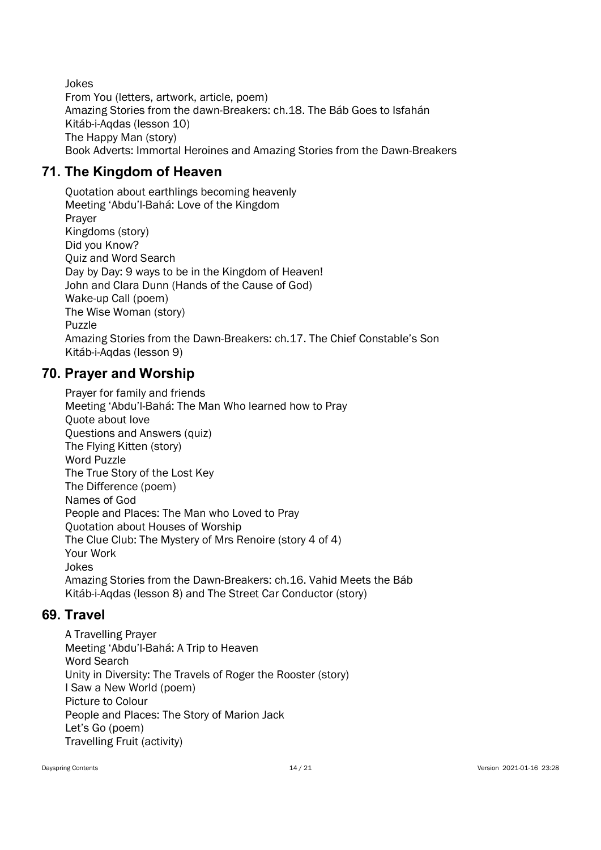Jokes From You (letters, artwork, article, poem) Amazing Stories from the dawn-Breakers: ch.18. The Báb Goes to Isfahán Kitáb-i-Aqdas (lesson 10) The Happy Man (story) Book Adverts: Immortal Heroines and Amazing Stories from the Dawn-Breakers

## 71. The Kingdom of Heaven

Quotation about earthlings becoming heavenly Meeting 'Abdu'l-Bahá: Love of the Kingdom Prayer Kingdoms (story) Did you Know? Quiz and Word Search Day by Day: 9 ways to be in the Kingdom of Heaven! John and Clara Dunn (Hands of the Cause of God) Wake-up Call (poem) The Wise Woman (story) Puzzle Amazing Stories from the Dawn-Breakers: ch.17. The Chief Constable's Son Kitáb-i-Aqdas (lesson 9)

## 70. Prayer and Worship

Prayer for family and friends Meeting 'Abdu'l-Bahá: The Man Who learned how to Pray Quote about love Questions and Answers (quiz) The Flying Kitten (story) Word Puzzle The True Story of the Lost Key The Difference (poem) Names of God People and Places: The Man who Loved to Pray Quotation about Houses of Worship The Clue Club: The Mystery of Mrs Renoire (story 4 of 4) Your Work Jokes Amazing Stories from the Dawn-Breakers: ch.16. Vahid Meets the Báb Kitáb-i-Aqdas (lesson 8) and The Street Car Conductor (story)

### 69. Travel

A Travelling Prayer Meeting 'Abdu'l-Bahá: A Trip to Heaven Word Search Unity in Diversity: The Travels of Roger the Rooster (story) I Saw a New World (poem) Picture to Colour People and Places: The Story of Marion Jack Let's Go (poem) Travelling Fruit (activity)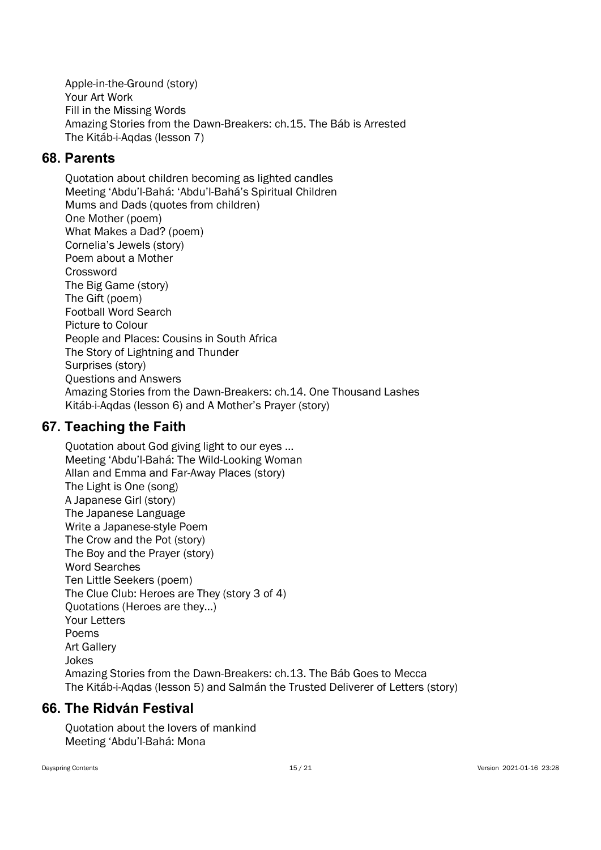Apple-in-the-Ground (story) Your Art Work Fill in the Missing Words Amazing Stories from the Dawn-Breakers: ch.15. The Báb is Arrested The Kitáb-i-Aqdas (lesson 7)

### 68. Parents

Quotation about children becoming as lighted candles Meeting 'Abdu'l-Bahá: 'Abdu'l-Bahá's Spiritual Children Mums and Dads (quotes from children) One Mother (poem) What Makes a Dad? (poem) Cornelia's Jewels (story) Poem about a Mother Crossword The Big Game (story) The Gift (poem) Football Word Search Picture to Colour People and Places: Cousins in South Africa The Story of Lightning and Thunder Surprises (story) Questions and Answers Amazing Stories from the Dawn-Breakers: ch.14. One Thousand Lashes Kitáb-i-Aqdas (lesson 6) and A Mother's Prayer (story)

### 67. Teaching the Faith

Quotation about God giving light to our eyes … Meeting 'Abdu'l-Bahá: The Wild-Looking Woman Allan and Emma and Far-Away Places (story) The Light is One (song) A Japanese Girl (story) The Japanese Language Write a Japanese-style Poem The Crow and the Pot (story) The Boy and the Prayer (story) Word Searches Ten Little Seekers (poem) The Clue Club: Heroes are They (story 3 of 4) Quotations (Heroes are they…) Your Letters Poems Art Gallery Jokes Amazing Stories from the Dawn-Breakers: ch.13. The Báb Goes to Mecca The Kitáb-i-Aqdas (lesson 5) and Salmán the Trusted Deliverer of Letters (story)

## 66. The Ridván Festival

Quotation about the lovers of mankind Meeting 'Abdu'l-Bahá: Mona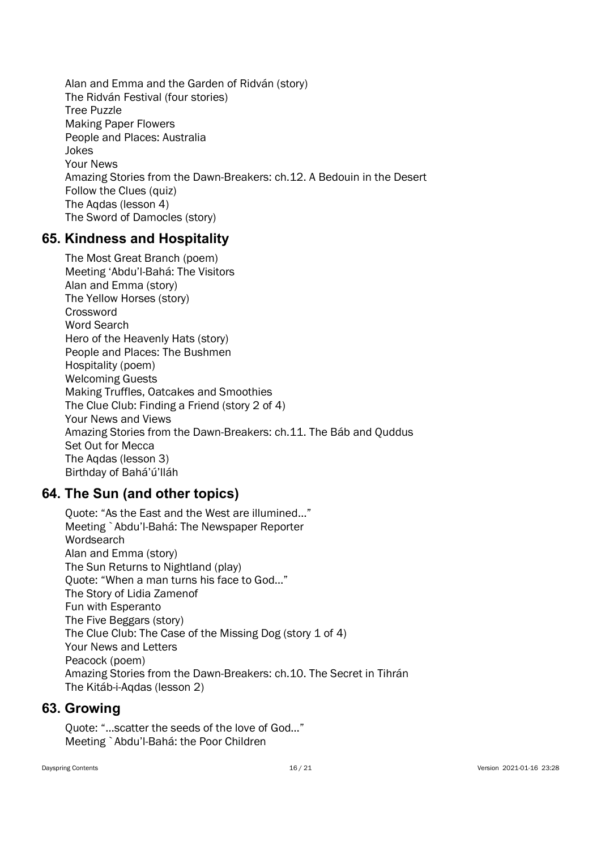Alan and Emma and the Garden of Ridván (story) The Ridván Festival (four stories) Tree Puzzle Making Paper Flowers People and Places: Australia Jokes Your News Amazing Stories from the Dawn-Breakers: ch.12. A Bedouin in the Desert Follow the Clues (quiz) The Aqdas (lesson 4) The Sword of Damocles (story)

#### 65. Kindness and Hospitality

The Most Great Branch (poem) Meeting 'Abdu'l-Bahá: The Visitors Alan and Emma (story) The Yellow Horses (story) Crossword Word Search Hero of the Heavenly Hats (story) People and Places: The Bushmen Hospitality (poem) Welcoming Guests Making Truffles, Oatcakes and Smoothies The Clue Club: Finding a Friend (story 2 of 4) Your News and Views Amazing Stories from the Dawn-Breakers: ch.11. The Báb and Quddus Set Out for Mecca The Aqdas (lesson 3) Birthday of Bahá'ú'lláh

### 64. The Sun (and other topics)

Quote: "As the East and the West are illumined…" Meeting `Abdu'l-Bahá: The Newspaper Reporter Wordsearch Alan and Emma (story) The Sun Returns to Nightland (play) Quote: "When a man turns his face to God…" The Story of Lidia Zamenof Fun with Esperanto The Five Beggars (story) The Clue Club: The Case of the Missing Dog (story 1 of 4) Your News and Letters Peacock (poem) Amazing Stories from the Dawn-Breakers: ch.10. The Secret in Tihrán The Kitáb-i-Aqdas (lesson 2)

#### 63. Growing

Quote: "…scatter the seeds of the love of God…" Meeting `Abdu'l-Bahá: the Poor Children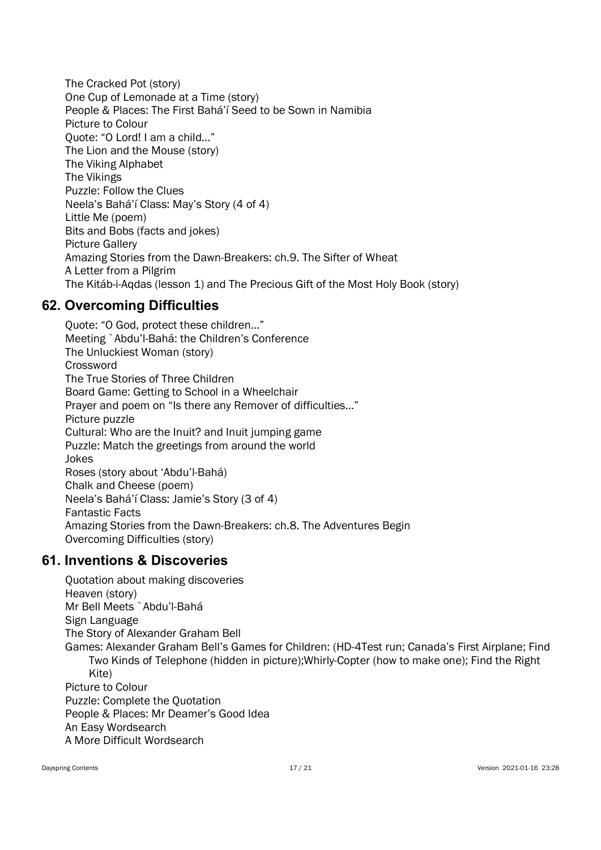The Cracked Pot (story) One Cup of Lemonade at a Time (story) People & Places: The First Bahá'í Seed to be Sown in Namibia Picture to Colour Quote: "O Lord! I am a child…" The Lion and the Mouse (story) The Viking Alphabet The Vikings Puzzle: Follow the Clues Neela's Bahá'í Class: May's Story (4 of 4) Little Me (poem) Bits and Bobs (facts and jokes) Picture Gallery Amazing Stories from the Dawn-Breakers: ch.9. The Sifter of Wheat A Letter from a Pilgrim The Kitáb-i-Aqdas (lesson 1) and The Precious Gift of the Most Holy Book (story)

## 62. Overcoming Difficulties

Quote: "O God, protect these children…" Meeting `Abdu'l-Bahá: the Children's Conference The Unluckiest Woman (story) **Crossword** The True Stories of Three Children Board Game: Getting to School in a Wheelchair Prayer and poem on "Is there any Remover of difficulties…" Picture puzzle Cultural: Who are the Inuit? and Inuit jumping game Puzzle: Match the greetings from around the world Jokes Roses (story about 'Abdu'l-Bahá) Chalk and Cheese (poem) Neela's Bahá'í Class: Jamie's Story (3 of 4) Fantastic Facts Amazing Stories from the Dawn-Breakers: ch.8. The Adventures Begin Overcoming Difficulties (story)

## 61. Inventions & Discoveries

Quotation about making discoveries Heaven (story) Mr Bell Meets `Abdu'l-Bahá Sign Language The Story of Alexander Graham Bell Games: Alexander Graham Bell's Games for Children: (HD-4Test run; Canada's First Airplane; Find Two Kinds of Telephone (hidden in picture);Whirly-Copter (how to make one); Find the Right Kite) Picture to Colour Puzzle: Complete the Quotation People & Places: Mr Deamer's Good Idea An Easy Wordsearch A More Difficult Wordsearch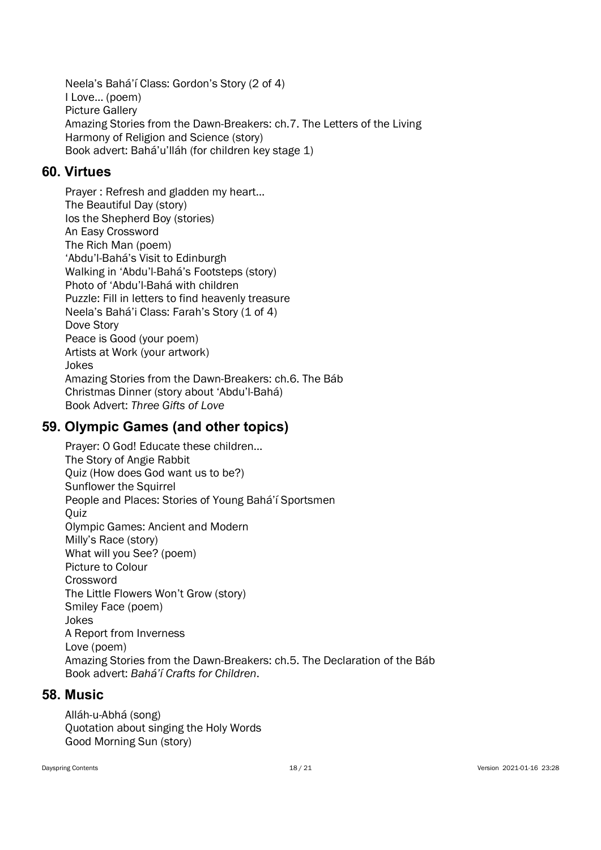Neela's Bahá'í Class: Gordon's Story (2 of 4) I Love… (poem) Picture Gallery Amazing Stories from the Dawn-Breakers: ch.7. The Letters of the Living Harmony of Religion and Science (story) Book advert: Bahá'u'lláh (for children key stage 1)

#### 60. Virtues

Prayer : Refresh and gladden my heart… The Beautiful Day (story) Ios the Shepherd Boy (stories) An Easy Crossword The Rich Man (poem) 'Abdu'l-Bahá's Visit to Edinburgh Walking in 'Abdu'l-Bahá's Footsteps (story) Photo of 'Abdu'l-Bahá with children Puzzle: Fill in letters to find heavenly treasure Neela's Bahá'i Class: Farah's Story (1 of 4) Dove Story Peace is Good (your poem) Artists at Work (your artwork) Jokes Amazing Stories from the Dawn-Breakers: ch.6. The Báb Christmas Dinner (story about 'Abdu'l-Bahá) Book Advert: Three Gifts of Love

#### 59. Olympic Games (and other topics)

Prayer: O God! Educate these children… The Story of Angie Rabbit Quiz (How does God want us to be?) Sunflower the Squirrel People and Places: Stories of Young Bahá'í Sportsmen **Ouiz** Olympic Games: Ancient and Modern Milly's Race (story) What will you See? (poem) Picture to Colour Crossword The Little Flowers Won't Grow (story) Smiley Face (poem) Jokes A Report from Inverness Love (poem) Amazing Stories from the Dawn-Breakers: ch.5. The Declaration of the Báb Book advert: Bahá'í Crafts for Children.

#### 58. Music

Alláh-u-Abhá (song) Quotation about singing the Holy Words Good Morning Sun (story)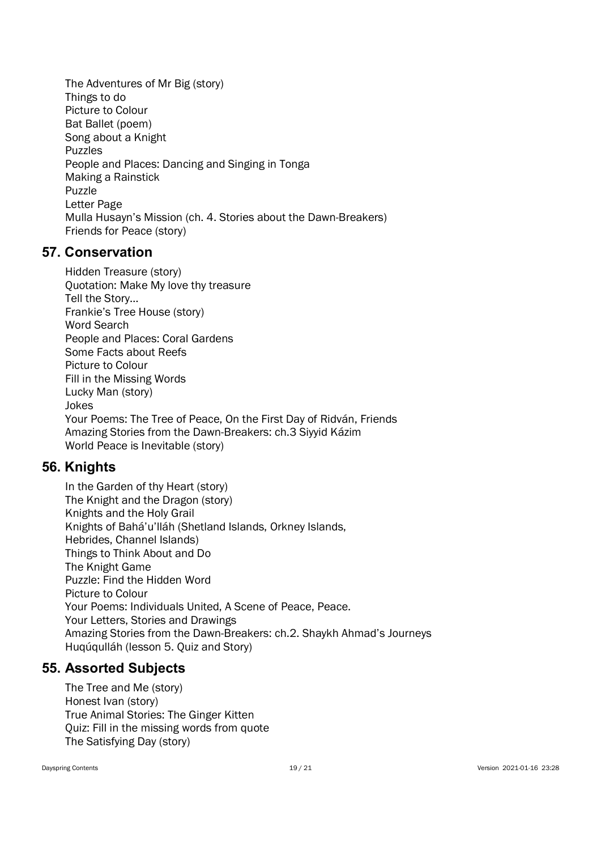The Adventures of Mr Big (story) Things to do Picture to Colour Bat Ballet (poem) Song about a Knight Puzzles People and Places: Dancing and Singing in Tonga Making a Rainstick Puzzle Letter Page Mulla Husayn's Mission (ch. 4. Stories about the Dawn-Breakers) Friends for Peace (story)

#### 57. Conservation

Hidden Treasure (story) Quotation: Make My love thy treasure Tell the Story… Frankie's Tree House (story) Word Search People and Places: Coral Gardens Some Facts about Reefs Picture to Colour Fill in the Missing Words Lucky Man (story) Jokes Your Poems: The Tree of Peace, On the First Day of Ridván, Friends Amazing Stories from the Dawn-Breakers: ch.3 Siyyid Kázim World Peace is Inevitable (story)

### 56. Knights

In the Garden of thy Heart (story) The Knight and the Dragon (story) Knights and the Holy Grail Knights of Bahá'u'lláh (Shetland Islands, Orkney Islands, Hebrides, Channel Islands) Things to Think About and Do The Knight Game Puzzle: Find the Hidden Word Picture to Colour Your Poems: Individuals United, A Scene of Peace, Peace. Your Letters, Stories and Drawings Amazing Stories from the Dawn-Breakers: ch.2. Shaykh Ahmad's Journeys Huqúqulláh (lesson 5. Quiz and Story)

#### 55. Assorted Subjects

The Tree and Me (story) Honest Ivan (story) True Animal Stories: The Ginger Kitten Quiz: Fill in the missing words from quote The Satisfying Day (story)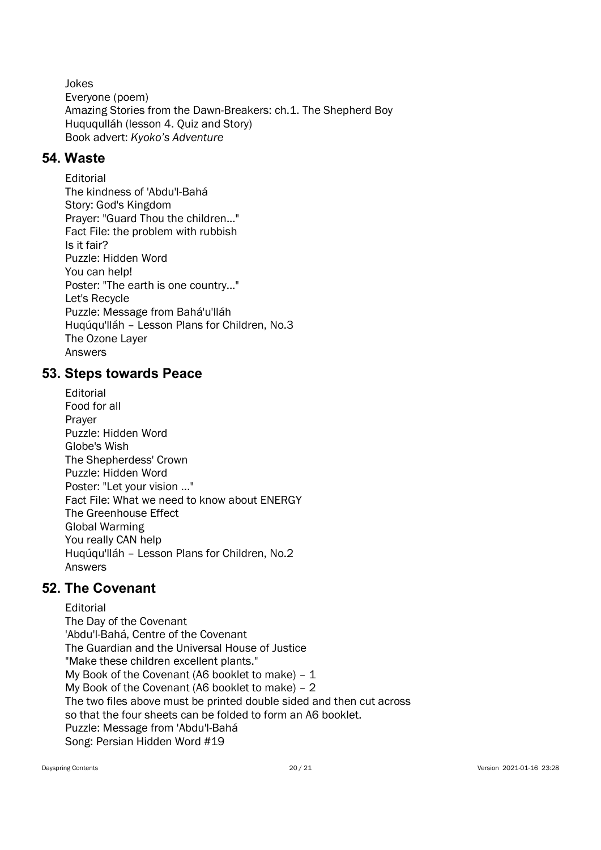Jokes Everyone (poem) Amazing Stories from the Dawn-Breakers: ch.1. The Shepherd Boy Huququlláh (lesson 4. Quiz and Story) Book advert: Kyoko's Adventure

### 54. Waste

Editorial The kindness of 'Abdu'l-Bahá Story: God's Kingdom Prayer: "Guard Thou the children..." Fact File: the problem with rubbish Is it fair? Puzzle: Hidden Word You can help! Poster: "The earth is one country..." Let's Recycle Puzzle: Message from Bahá'u'lláh Huqúqu'lláh – Lesson Plans for Children, No.3 The Ozone Layer Answers

#### 53. Steps towards Peace

Editorial Food for all Prayer Puzzle: Hidden Word Globe's Wish The Shepherdess' Crown Puzzle: Hidden Word Poster: "Let your vision ..." Fact File: What we need to know about ENERGY The Greenhouse Effect Global Warming You really CAN help Huqúqu'lláh – Lesson Plans for Children, No.2 Answers

### 52. The Covenant

Editorial The Day of the Covenant 'Abdu'l-Bahá, Centre of the Covenant The Guardian and the Universal House of Justice "Make these children excellent plants." My Book of the Covenant (A6 booklet to make)  $-1$ My Book of the Covenant (A6 booklet to make) – 2 The two files above must be printed double sided and then cut across so that the four sheets can be folded to form an A6 booklet. Puzzle: Message from 'Abdu'l-Bahá Song: Persian Hidden Word #19